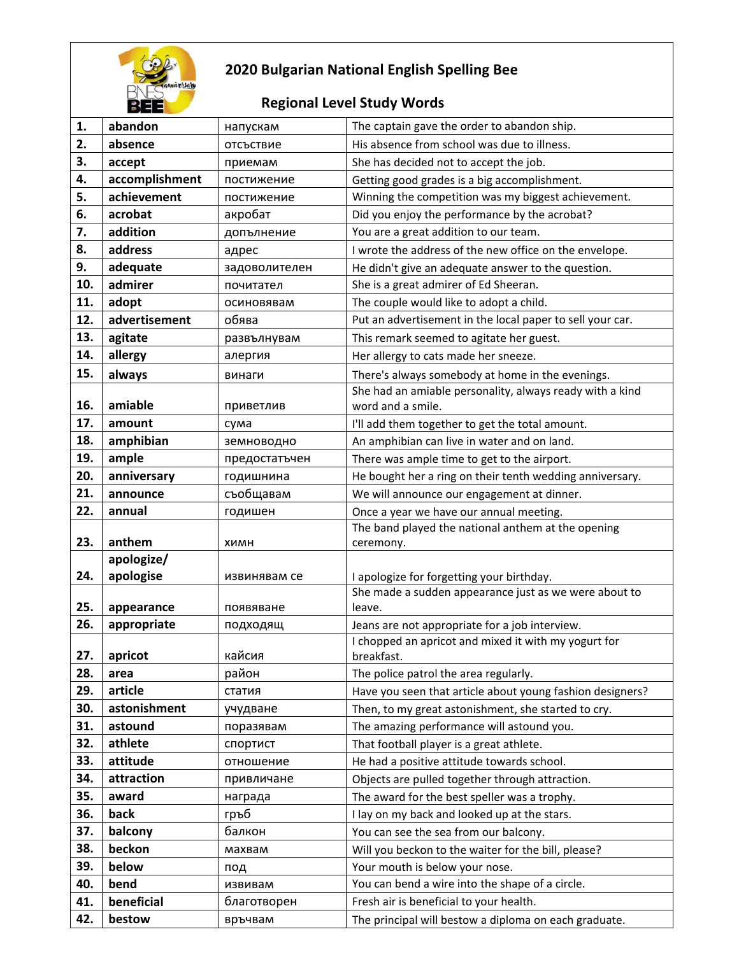

## **2020 Bulgarian National English Spelling Bee**

## **Regional Level Study Words**

| 1.  | abandon        | напускам      | The captain gave the order to abandon ship.                     |
|-----|----------------|---------------|-----------------------------------------------------------------|
| 2.  | absence        | отсъствие     | His absence from school was due to illness.                     |
| 3.  | accept         | приемам       | She has decided not to accept the job.                          |
| 4.  | accomplishment | постижение    | Getting good grades is a big accomplishment.                    |
| 5.  | achievement    | постижение    | Winning the competition was my biggest achievement.             |
| 6.  | acrobat        | акробат       | Did you enjoy the performance by the acrobat?                   |
| 7.  | addition       | допълнение    | You are a great addition to our team.                           |
| 8.  | address        | адрес         | I wrote the address of the new office on the envelope.          |
| 9.  | adequate       | задоволителен | He didn't give an adequate answer to the question.              |
| 10. | admirer        | почитател     | She is a great admirer of Ed Sheeran.                           |
| 11. | adopt          | осиновявам    | The couple would like to adopt a child.                         |
| 12. | advertisement  | обява         | Put an advertisement in the local paper to sell your car.       |
| 13. | agitate        | развълнувам   | This remark seemed to agitate her guest.                        |
| 14. | allergy        | алергия       | Her allergy to cats made her sneeze.                            |
| 15. | always         | винаги        | There's always somebody at home in the evenings.                |
|     |                |               | She had an amiable personality, always ready with a kind        |
| 16. | amiable        | приветлив     | word and a smile.                                               |
| 17. | amount         | сума          | I'll add them together to get the total amount.                 |
| 18. | amphibian      | земноводно    | An amphibian can live in water and on land.                     |
| 19. | ample          | предостатъчен | There was ample time to get to the airport.                     |
| 20. | anniversary    | годишнина     | He bought her a ring on their tenth wedding anniversary.        |
| 21. | announce       | съобщавам     | We will announce our engagement at dinner.                      |
| 22. | annual         | годишен       | Once a year we have our annual meeting.                         |
|     |                |               | The band played the national anthem at the opening              |
| 23. | anthem         | ХИМН          | ceremony.                                                       |
|     | apologize/     |               |                                                                 |
| 24. | apologise      | извинявам се  | I apologize for forgetting your birthday.                       |
| 25. | appearance     | появяване     | She made a sudden appearance just as we were about to<br>leave. |
| 26. | appropriate    | подходящ      | Jeans are not appropriate for a job interview.                  |
|     |                |               | I chopped an apricot and mixed it with my yogurt for            |
| 27. | apricot        | кайсия        | breakfast.                                                      |
| 28. | area           | район         | The police patrol the area regularly.                           |
| 29. | article        | статия        | Have you seen that article about young fashion designers?       |
| 30. | astonishment   | учудване      | Then, to my great astonishment, she started to cry.             |
| 31. | astound        | поразявам     | The amazing performance will astound you.                       |
| 32. | athlete        | спортист      | That football player is a great athlete.                        |
| 33. | attitude       | отношение     | He had a positive attitude towards school.                      |
| 34. | attraction     | привличане    | Objects are pulled together through attraction.                 |
| 35. | award          | награда       | The award for the best speller was a trophy.                    |
| 36. | back           | гръб          | I lay on my back and looked up at the stars.                    |
| 37. | balcony        | балкон        | You can see the sea from our balcony.                           |
| 38. | beckon         | махвам        | Will you beckon to the waiter for the bill, please?             |
| 39. | below          | под           | Your mouth is below your nose.                                  |
| 40. | bend           | извивам       | You can bend a wire into the shape of a circle.                 |
|     |                |               |                                                                 |
| 41. | beneficial     | благотворен   | Fresh air is beneficial to your health.                         |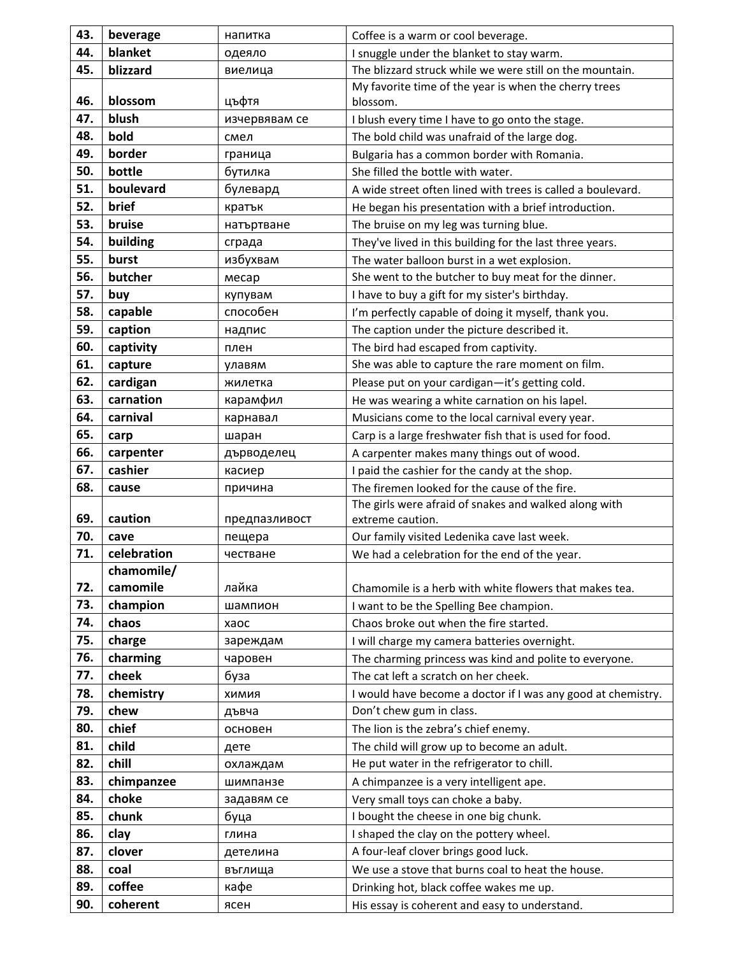| 43. | beverage    | напитка       | Coffee is a warm or cool beverage.                           |
|-----|-------------|---------------|--------------------------------------------------------------|
| 44. | blanket     | одеяло        | I snuggle under the blanket to stay warm.                    |
| 45. | blizzard    | виелица       | The blizzard struck while we were still on the mountain.     |
|     |             |               | My favorite time of the year is when the cherry trees        |
| 46. | blossom     | цъфтя         | blossom.                                                     |
| 47. | blush       | изчервявам се | I blush every time I have to go onto the stage.              |
| 48. | bold        | смел          | The bold child was unafraid of the large dog.                |
| 49. | border      | граница       | Bulgaria has a common border with Romania.                   |
| 50. | bottle      | бутилка       | She filled the bottle with water.                            |
| 51. | boulevard   | булевард      | A wide street often lined with trees is called a boulevard.  |
| 52. | brief       | кратък        | He began his presentation with a brief introduction.         |
| 53. | bruise      | натъртване    | The bruise on my leg was turning blue.                       |
| 54. | building    | сграда        | They've lived in this building for the last three years.     |
| 55. | burst       | избухвам      | The water balloon burst in a wet explosion.                  |
| 56. | butcher     | месар         | She went to the butcher to buy meat for the dinner.          |
| 57. | buy         | купувам       | I have to buy a gift for my sister's birthday.               |
| 58. | capable     | способен      | I'm perfectly capable of doing it myself, thank you.         |
| 59. | caption     | надпис        | The caption under the picture described it.                  |
| 60. | captivity   | плен          | The bird had escaped from captivity.                         |
| 61. | capture     | улавям        | She was able to capture the rare moment on film.             |
| 62. | cardigan    | жилетка       | Please put on your cardigan-it's getting cold.               |
| 63. | carnation   | карамфил      | He was wearing a white carnation on his lapel.               |
| 64. | carnival    | карнавал      | Musicians come to the local carnival every year.             |
| 65. | carp        | шаран         | Carp is a large freshwater fish that is used for food.       |
| 66. | carpenter   | дърводелец    | A carpenter makes many things out of wood.                   |
| 67. | cashier     | касиер        | I paid the cashier for the candy at the shop.                |
| 68. | cause       | причина       | The firemen looked for the cause of the fire.                |
|     |             |               | The girls were afraid of snakes and walked along with        |
| 69. | caution     | предпазливост | extreme caution.                                             |
| 70. | cave        | пещера        | Our family visited Ledenika cave last week.                  |
| 71. | celebration | честване      | We had a celebration for the end of the year.                |
|     | chamomile/  |               |                                                              |
| 72. | camomile    | лайка         | Chamomile is a herb with white flowers that makes tea.       |
| 73. | champion    | шампион       | I want to be the Spelling Bee champion.                      |
| 74. | chaos       | xaoc          | Chaos broke out when the fire started.                       |
| 75. | charge      | зареждам      | I will charge my camera batteries overnight.                 |
| 76. | charming    | чаровен       | The charming princess was kind and polite to everyone.       |
| 77. | cheek       | буза          | The cat left a scratch on her cheek.                         |
| 78. | chemistry   | <b>КИМИХ</b>  | I would have become a doctor if I was any good at chemistry. |
| 79. | chew        | дъвча         | Don't chew gum in class.                                     |
| 80. | chief       | основен       | The lion is the zebra's chief enemy.                         |
| 81. | child       | дете          | The child will grow up to become an adult.                   |
| 82. | chill       | охлаждам      | He put water in the refrigerator to chill.                   |
| 83. | chimpanzee  | шимпанзе      | A chimpanzee is a very intelligent ape.                      |
| 84. | choke       | задавям се    | Very small toys can choke a baby.                            |
| 85. | chunk       | буца          | I bought the cheese in one big chunk.                        |
| 86. | clay        | глина         | I shaped the clay on the pottery wheel.                      |
| 87. | clover      | детелина      | A four-leaf clover brings good luck.                         |
| 88. | coal        | въглища       | We use a stove that burns coal to heat the house.            |
| 89. | coffee      | кафе          | Drinking hot, black coffee wakes me up.                      |
| 90. | coherent    | ясен          | His essay is coherent and easy to understand.                |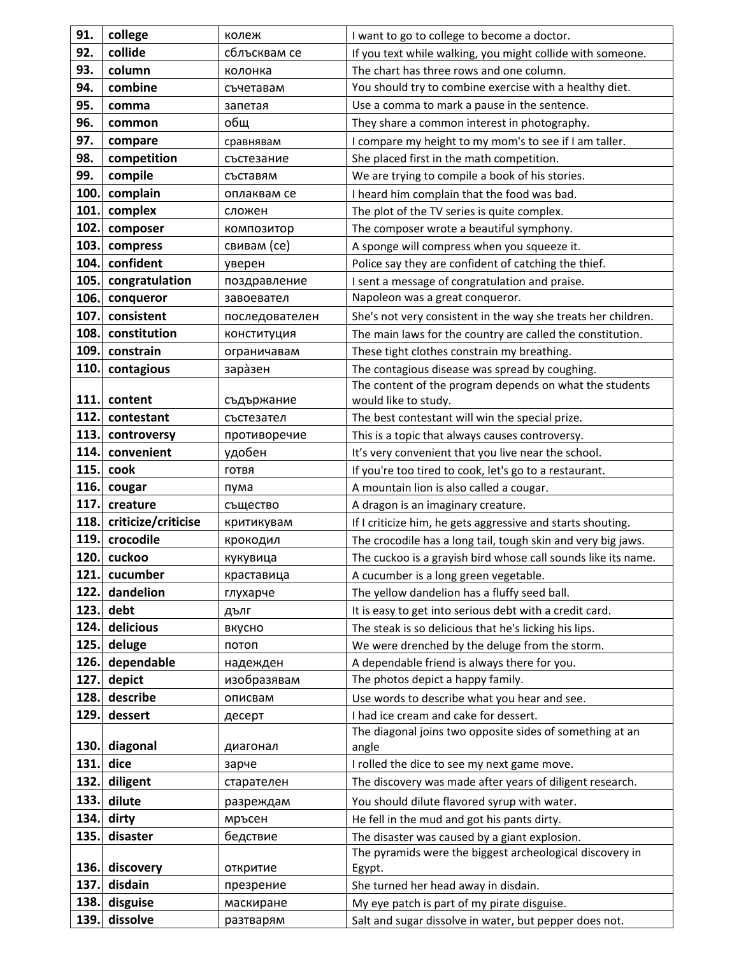| 91.<br>college<br>I want to go to college to become a doctor.<br>колеж                                                                    |  |
|-------------------------------------------------------------------------------------------------------------------------------------------|--|
| 92.<br>collide<br>сблъсквам се<br>If you text while walking, you might collide with someone.                                              |  |
| 93.<br>column<br>The chart has three rows and one column.<br>колонка                                                                      |  |
| combine<br>You should try to combine exercise with a healthy diet.<br>94.<br>съчетавам                                                    |  |
| 95.<br>Use a comma to mark a pause in the sentence.<br>comma<br>запетая                                                                   |  |
| 96.<br>They share a common interest in photography.<br>общ<br>common                                                                      |  |
| 97.<br>compare<br>I compare my height to my mom's to see if I am taller.<br>сравнявам                                                     |  |
| 98.<br>competition<br>She placed first in the math competition.<br>състезание                                                             |  |
| 99.<br>compile<br>We are trying to compile a book of his stories.<br>съставям                                                             |  |
| complain<br>100.<br>I heard him complain that the food was bad.<br>оплаквам се                                                            |  |
| 101.<br>complex<br>The plot of the TV series is quite complex.<br>сложен                                                                  |  |
| 102.<br>composer<br>The composer wrote a beautiful symphony.<br>композитор                                                                |  |
| 103.<br>свивам (се)<br>compress<br>A sponge will compress when you squeeze it.                                                            |  |
| 104.<br>confident<br>Police say they are confident of catching the thief.<br>уверен                                                       |  |
| 105.<br>congratulation<br>I sent a message of congratulation and praise.<br>поздравление                                                  |  |
| Napoleon was a great conqueror.<br>106.<br>conqueror<br>завоевател                                                                        |  |
| 107.<br>consistent<br>She's not very consistent in the way she treats her children.<br>последователен                                     |  |
| 108.<br>constitution<br>The main laws for the country are called the constitution.<br>конституция                                         |  |
| 109.<br>constrain<br>These tight clothes constrain my breathing.<br>ограничавам                                                           |  |
| 110.<br>contagious<br>заразен<br>The contagious disease was spread by coughing.                                                           |  |
| The content of the program depends on what the students                                                                                   |  |
| 111.<br>content<br>would like to study.<br>съдържание                                                                                     |  |
| 112.<br>contestant<br>The best contestant will win the special prize.<br>състезател                                                       |  |
| 113.<br>controversy<br>противоречие<br>This is a topic that always causes controversy.                                                    |  |
| 114.<br>convenient<br>удобен<br>It's very convenient that you live near the school.                                                       |  |
| 115.<br>cook<br>If you're too tired to cook, let's go to a restaurant.<br>ГОТВЯ                                                           |  |
| 116.<br>A mountain lion is also called a cougar.<br>cougar<br>пума                                                                        |  |
| 117.<br>creature<br>същество<br>A dragon is an imaginary creature.                                                                        |  |
| criticize/criticise<br>118.<br>If I criticize him, he gets aggressive and starts shouting.<br>критикувам                                  |  |
| crocodile<br>119.<br>The crocodile has a long tail, tough skin and very big jaws.<br>крокодил                                             |  |
| 120. cuckoo<br>The cuckoo is a grayish bird whose call sounds like its name.<br>кукувица                                                  |  |
| 121.<br>cucumber<br>краставица<br>A cucumber is a long green vegetable.                                                                   |  |
| dandelion<br>122.<br>The yellow dandelion has a fluffy seed ball.<br>глухарче                                                             |  |
| 123.<br>debt<br>It is easy to get into serious debt with a credit card.<br>дълг                                                           |  |
| 124.<br>delicious<br>The steak is so delicious that he's licking his lips.<br>вкусно                                                      |  |
| 125.<br>deluge<br>We were drenched by the deluge from the storm.<br>потоп                                                                 |  |
| dependable<br>126.<br>A dependable friend is always there for you.<br>надежден                                                            |  |
| 127.<br>depict<br>The photos depict a happy family.<br>изобразявам                                                                        |  |
| describe<br>128.<br>Use words to describe what you hear and see.<br>описвам                                                               |  |
| 129.<br>dessert<br>I had ice cream and cake for dessert.<br>десерт                                                                        |  |
| The diagonal joins two opposite sides of something at an<br>130.<br>diagonal                                                              |  |
| angle<br>диагонал<br>131.<br>dice<br>I rolled the dice to see my next game move.                                                          |  |
| зарче<br>132.<br>diligent                                                                                                                 |  |
| The discovery was made after years of diligent research.<br>старателен                                                                    |  |
| 133.<br>dilute<br>You should dilute flavored syrup with water.<br>разреждам                                                               |  |
| 134.<br>dirty<br>мръсен<br>He fell in the mud and got his pants dirty.                                                                    |  |
| 135.<br>disaster<br>бедствие<br>The disaster was caused by a giant explosion.<br>The pyramids were the biggest archeological discovery in |  |
| 136.<br>discovery<br>откритие<br>Egypt.                                                                                                   |  |
| 137.<br>disdain<br>She turned her head away in disdain.<br>презрение                                                                      |  |
| 138.<br>disguise<br>My eye patch is part of my pirate disguise.<br>маскиране                                                              |  |
|                                                                                                                                           |  |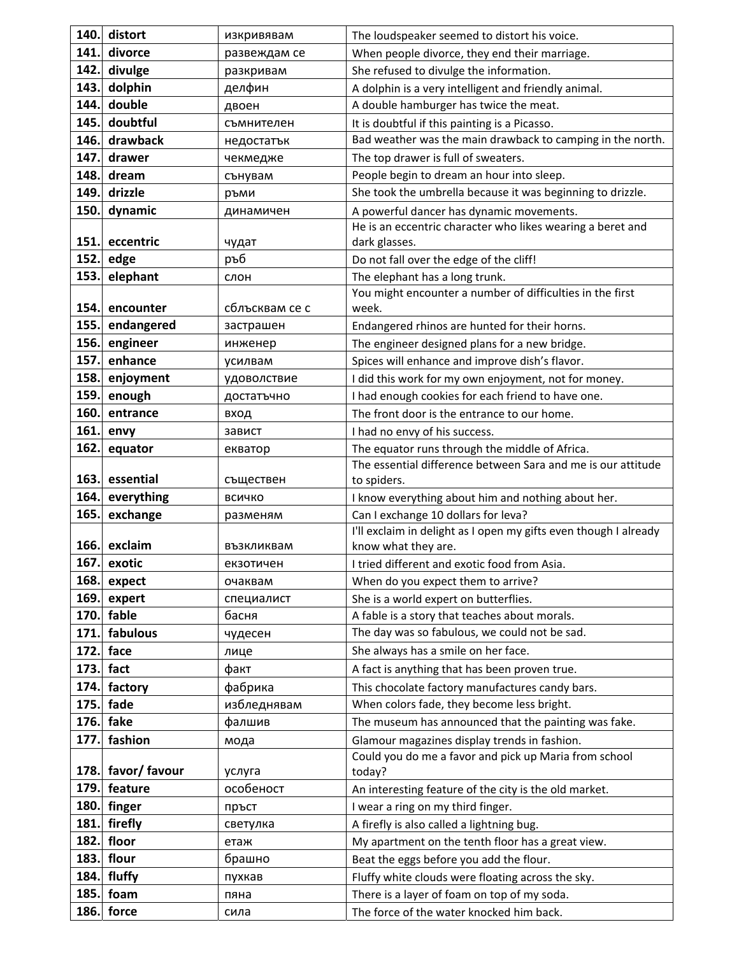| 140. | distort       | изкривявам              | The loudspeaker seemed to distort his voice.                                                          |
|------|---------------|-------------------------|-------------------------------------------------------------------------------------------------------|
| 141. | divorce       | развеждам се            | When people divorce, they end their marriage.                                                         |
| 142. | divulge       | разкривам               | She refused to divulge the information.                                                               |
| 143. | dolphin       | делфин                  | A dolphin is a very intelligent and friendly animal.                                                  |
| 144. | double        | двоен                   | A double hamburger has twice the meat.                                                                |
| 145. | doubtful      | съмнителен              | It is doubtful if this painting is a Picasso.                                                         |
| 146. | drawback      | недостатък              | Bad weather was the main drawback to camping in the north.                                            |
| 147. | drawer        | чекмедже                | The top drawer is full of sweaters.                                                                   |
| 148. | dream         | сънувам                 | People begin to dream an hour into sleep.                                                             |
| 149. | drizzle       | ръми                    | She took the umbrella because it was beginning to drizzle.                                            |
| 150. | dynamic       | динамичен               | A powerful dancer has dynamic movements.                                                              |
|      |               |                         | He is an eccentric character who likes wearing a beret and                                            |
| 151. | eccentric     | чудат                   | dark glasses.                                                                                         |
| 152. | edge          | ръб                     | Do not fall over the edge of the cliff!                                                               |
| 153. | elephant      | слон                    | The elephant has a long trunk.                                                                        |
|      |               |                         | You might encounter a number of difficulties in the first                                             |
| 154. | encounter     | сблъсквам се с          | week.                                                                                                 |
| 155. | endangered    | застрашен               | Endangered rhinos are hunted for their horns.                                                         |
| 156. | engineer      | инженер                 | The engineer designed plans for a new bridge.                                                         |
| 157. | enhance       | усилвам                 | Spices will enhance and improve dish's flavor.                                                        |
| 158. | enjoyment     | удоволствие             | I did this work for my own enjoyment, not for money.                                                  |
| 159. | enough        | достатъчно              | I had enough cookies for each friend to have one.                                                     |
| 160. | entrance      | вход                    | The front door is the entrance to our home.                                                           |
| 161. | envy          | завист                  | I had no envy of his success.                                                                         |
| 162. | equator       | екватор                 | The equator runs through the middle of Africa.                                                        |
|      |               |                         | The essential difference between Sara and me is our attitude                                          |
| 163. | essential     | съществен               | to spiders.                                                                                           |
| 164. | everything    | ВСИЧКО                  | I know everything about him and nothing about her.                                                    |
| 165. | exchange      | разменям                | Can I exchange 10 dollars for leva?                                                                   |
| 166. | exclaim       |                         | I'll exclaim in delight as I open my gifts even though I already                                      |
| 167. | exotic        | възкликвам<br>екзотичен | know what they are.<br>I tried different and exotic food from Asia.                                   |
| 168. | expect        | очаквам                 | When do you expect them to arrive?                                                                    |
| 169. | expert        | специалист              | She is a world expert on butterflies.                                                                 |
| 170. | fable         | басня                   | A fable is a story that teaches about morals.                                                         |
| 171. | fabulous      | чудесен                 | The day was so fabulous, we could not be sad.                                                         |
| 172. | face          | лице                    | She always has a smile on her face.                                                                   |
| 173. | fact          | факт                    | A fact is anything that has been proven true.                                                         |
| 174. | factory       | фабрика                 | This chocolate factory manufactures candy bars.                                                       |
| 175. | fade          | избледнявам             | When colors fade, they become less bright.                                                            |
| 176. | fake          | фалшив                  | The museum has announced that the painting was fake.                                                  |
| 177. | fashion       |                         |                                                                                                       |
|      |               | мода                    | Glamour magazines display trends in fashion.<br>Could you do me a favor and pick up Maria from school |
| 178. | favor/ favour | услуга                  | today?                                                                                                |
| 179. | feature       | особеност               | An interesting feature of the city is the old market.                                                 |
| 180. | finger        | пръст                   | I wear a ring on my third finger.                                                                     |
| 181. | firefly       | светулка                | A firefly is also called a lightning bug.                                                             |
| 182. | floor         | етаж                    | My apartment on the tenth floor has a great view.                                                     |
| 183. | flour         | брашно                  | Beat the eggs before you add the flour.                                                               |
| 184. | fluffy        | пухкав                  | Fluffy white clouds were floating across the sky.                                                     |
| 185. | foam          | пяна                    | There is a layer of foam on top of my soda.                                                           |
| 186. | force         | сила                    | The force of the water knocked him back.                                                              |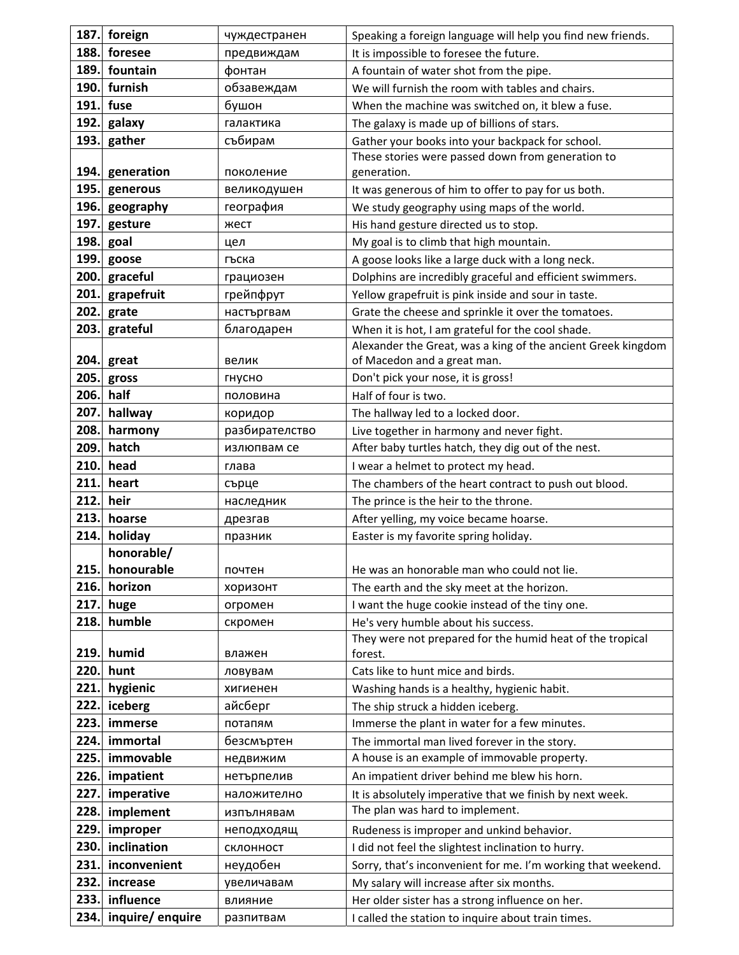| 187. | foreign         | чуждестранен   | Speaking a foreign language will help you find new friends.                                  |
|------|-----------------|----------------|----------------------------------------------------------------------------------------------|
| 188. | foresee         | предвиждам     | It is impossible to foresee the future.                                                      |
| 189. | fountain        | фонтан         | A fountain of water shot from the pipe.                                                      |
| 190. | furnish         | обзавеждам     | We will furnish the room with tables and chairs.                                             |
| 191. | fuse            | бушон          | When the machine was switched on, it blew a fuse.                                            |
| 192. | galaxy          | галактика      | The galaxy is made up of billions of stars.                                                  |
| 193. | gather          | събирам        | Gather your books into your backpack for school.                                             |
|      |                 |                | These stories were passed down from generation to                                            |
| 194. | generation      | поколение      | generation.                                                                                  |
| 195. | generous        | великодушен    | It was generous of him to offer to pay for us both.                                          |
| 196. | geography       | география      | We study geography using maps of the world.                                                  |
| 197. | gesture         | жест           | His hand gesture directed us to stop.                                                        |
| 198. | goal            | цел            | My goal is to climb that high mountain.                                                      |
| 199. | goose           | гъска          | A goose looks like a large duck with a long neck.                                            |
| 200. | graceful        | грациозен      | Dolphins are incredibly graceful and efficient swimmers.                                     |
| 201. | grapefruit      | грейпфрут      | Yellow grapefruit is pink inside and sour in taste.                                          |
| 202. | grate           | настъргвам     | Grate the cheese and sprinkle it over the tomatoes.                                          |
| 203. | grateful        | благодарен     | When it is hot, I am grateful for the cool shade.                                            |
|      |                 |                | Alexander the Great, was a king of the ancient Greek kingdom                                 |
| 204. | great           | велик          | of Macedon and a great man.                                                                  |
| 205. | gross           | гнусно         | Don't pick your nose, it is gross!                                                           |
| 206. | half            | половина       | Half of four is two.                                                                         |
| 207. | hallway         | коридор        | The hallway led to a locked door.                                                            |
| 208. | harmony         | разбирателство | Live together in harmony and never fight.                                                    |
| 209. | hatch           | излюпвам се    | After baby turtles hatch, they dig out of the nest.                                          |
| 210. | head            | глава          | I wear a helmet to protect my head.                                                          |
| 211. | heart           | сърце          | The chambers of the heart contract to push out blood.                                        |
| 212. | heir            | наследник      | The prince is the heir to the throne.                                                        |
| 213. | hoarse          | дрезгав        | After yelling, my voice became hoarse.                                                       |
| 214. | holiday         | празник        | Easter is my favorite spring holiday.                                                        |
|      | honorable/      |                |                                                                                              |
|      | 215. honourable | почтен         | He was an honorable man who could not lie.                                                   |
| 216. | horizon         | хоризонт       | The earth and the sky meet at the horizon.                                                   |
| 217. | huge            | огромен        | I want the huge cookie instead of the tiny one.                                              |
| 218. | humble          | скромен        | He's very humble about his success.                                                          |
|      |                 |                | They were not prepared for the humid heat of the tropical                                    |
| 219. | humid           | влажен         | forest.                                                                                      |
| 220. | hunt            | ловувам        | Cats like to hunt mice and birds.                                                            |
| 221. | hygienic        | хигиенен       | Washing hands is a healthy, hygienic habit.                                                  |
| 222. | iceberg         | айсберг        | The ship struck a hidden iceberg.                                                            |
| 223. | immerse         | потапям        | Immerse the plant in water for a few minutes.                                                |
| 224. | immortal        | безсмъртен     | The immortal man lived forever in the story.<br>A house is an example of immovable property. |
| 225. | immovable       | недвижим       |                                                                                              |
| 226. | impatient       | нетърпелив     | An impatient driver behind me blew his horn.                                                 |
| 227. | imperative      | наложително    | It is absolutely imperative that we finish by next week.                                     |
| 228. | implement       | изпълнявам     | The plan was hard to implement.                                                              |
| 229. | improper        | неподходящ     | Rudeness is improper and unkind behavior.                                                    |
| 230. | inclination     | склонност      | I did not feel the slightest inclination to hurry.                                           |
| 231. | inconvenient    | неудобен       | Sorry, that's inconvenient for me. I'm working that weekend.                                 |
| 232. | increase        | увеличавам     | My salary will increase after six months.                                                    |
| 233. | influence       | влияние        | Her older sister has a strong influence on her.                                              |
| 234. | inquire/enquire | разпитвам      | I called the station to inquire about train times.                                           |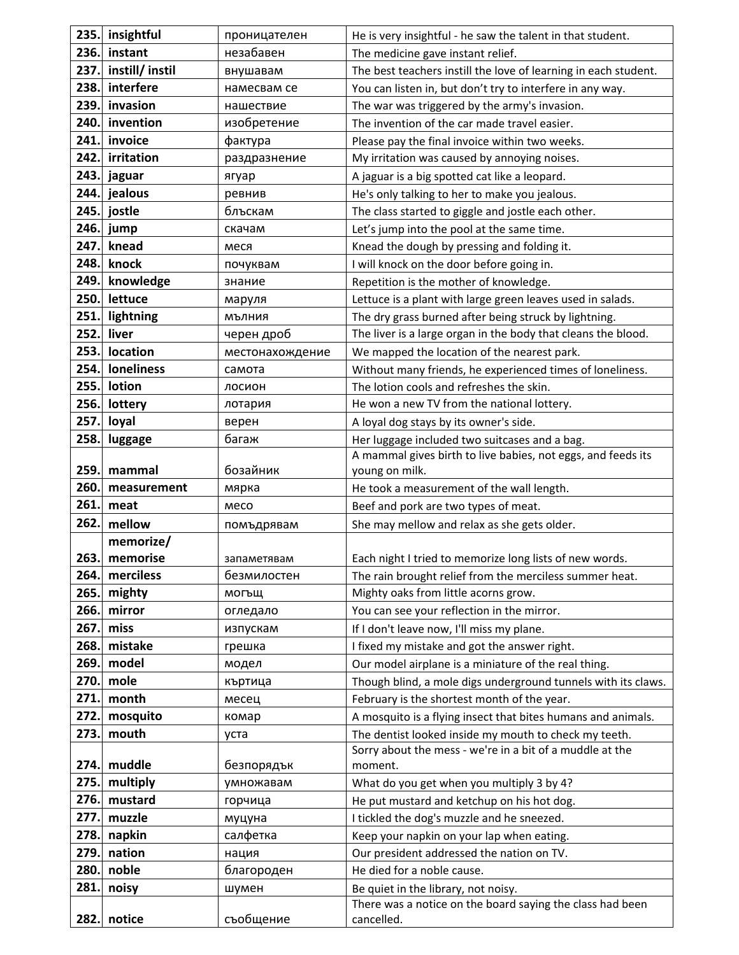| 235. | insightful     | проницателен    | He is very insightful - he saw the talent in that student.          |
|------|----------------|-----------------|---------------------------------------------------------------------|
| 236. | instant        | незабавен       | The medicine gave instant relief.                                   |
| 237. | instill/instil | внушавам        | The best teachers instill the love of learning in each student.     |
| 238. | interfere      | намесвам се     | You can listen in, but don't try to interfere in any way.           |
| 239. | invasion       | нашествие       | The war was triggered by the army's invasion.                       |
| 240. | invention      | изобретение     | The invention of the car made travel easier.                        |
| 241. | invoice        | фактура         | Please pay the final invoice within two weeks.                      |
| 242. | irritation     | раздразнение    | My irritation was caused by annoying noises.                        |
| 243. | jaguar         | ягуар           | A jaguar is a big spotted cat like a leopard.                       |
| 244. | jealous        | ревнив          | He's only talking to her to make you jealous.                       |
| 245. | jostle         | блъскам         | The class started to giggle and jostle each other.                  |
| 246. | jump           | скачам          | Let's jump into the pool at the same time.                          |
| 247. | knead          | меся            | Knead the dough by pressing and folding it.                         |
| 248. | knock          | почуквам        | I will knock on the door before going in.                           |
| 249. | knowledge      | знание          | Repetition is the mother of knowledge.                              |
| 250. | lettuce        | маруля          | Lettuce is a plant with large green leaves used in salads.          |
| 251. | lightning      | МЪЛНИЯ          | The dry grass burned after being struck by lightning.               |
| 252. | liver          | черен дроб      | The liver is a large organ in the body that cleans the blood.       |
| 253. | location       | местонахождение | We mapped the location of the nearest park.                         |
| 254. | loneliness     | самота          | Without many friends, he experienced times of loneliness.           |
| 255. | lotion         | лосион          | The lotion cools and refreshes the skin.                            |
| 256. | lottery        | лотария         | He won a new TV from the national lottery.                          |
| 257. | loyal          | верен           | A loyal dog stays by its owner's side.                              |
| 258. | luggage        | багаж           | Her luggage included two suitcases and a bag.                       |
|      |                |                 | A mammal gives birth to live babies, not eggs, and feeds its        |
| 259. | mammal         | бозайник        | young on milk.                                                      |
| 260. | measurement    | мярка           | He took a measurement of the wall length.                           |
| 261. | meat           | месо            | Beef and pork are two types of meat.                                |
| 262. | mellow         | помъдрявам      | She may mellow and relax as she gets older.                         |
|      | memorize/      |                 |                                                                     |
| 263. | memorise       | запаметявам     | Each night I tried to memorize long lists of new words.             |
| 264. | merciless      | безмилостен     | The rain brought relief from the merciless summer heat.             |
| 265. | mighty         | могъщ           | Mighty oaks from little acorns grow.                                |
| 266. | mirror         | огледало        | You can see your reflection in the mirror.                          |
| 267. | miss           | изпускам        | If I don't leave now, I'll miss my plane.                           |
| 268. | mistake        | грешка          | I fixed my mistake and got the answer right.                        |
| 269. | model          | модел           | Our model airplane is a miniature of the real thing.                |
| 270. | mole           | къртица         | Though blind, a mole digs underground tunnels with its claws.       |
| 271. | month          | месец           | February is the shortest month of the year.                         |
| 272. | mosquito       | комар           | A mosquito is a flying insect that bites humans and animals.        |
| 273. | mouth          | уста            | The dentist looked inside my mouth to check my teeth.               |
| 274. | muddle         | безпорядък      | Sorry about the mess - we're in a bit of a muddle at the<br>moment. |
| 275. | multiply       | умножавам       | What do you get when you multiply 3 by 4?                           |
| 276. | mustard        | горчица         | He put mustard and ketchup on his hot dog.                          |
| 277. | muzzle         | муцуна          | I tickled the dog's muzzle and he sneezed.                          |
| 278. | napkin         | салфетка        | Keep your napkin on your lap when eating.                           |
| 279. | nation         | нация           | Our president addressed the nation on TV.                           |
| 280  | noble          | благороден      | He died for a noble cause.                                          |
| 281. | noisy          | шумен           | Be quiet in the library, not noisy.                                 |
|      |                |                 | There was a notice on the board saying the class had been           |
| 282. | notice         | съобщение       | cancelled.                                                          |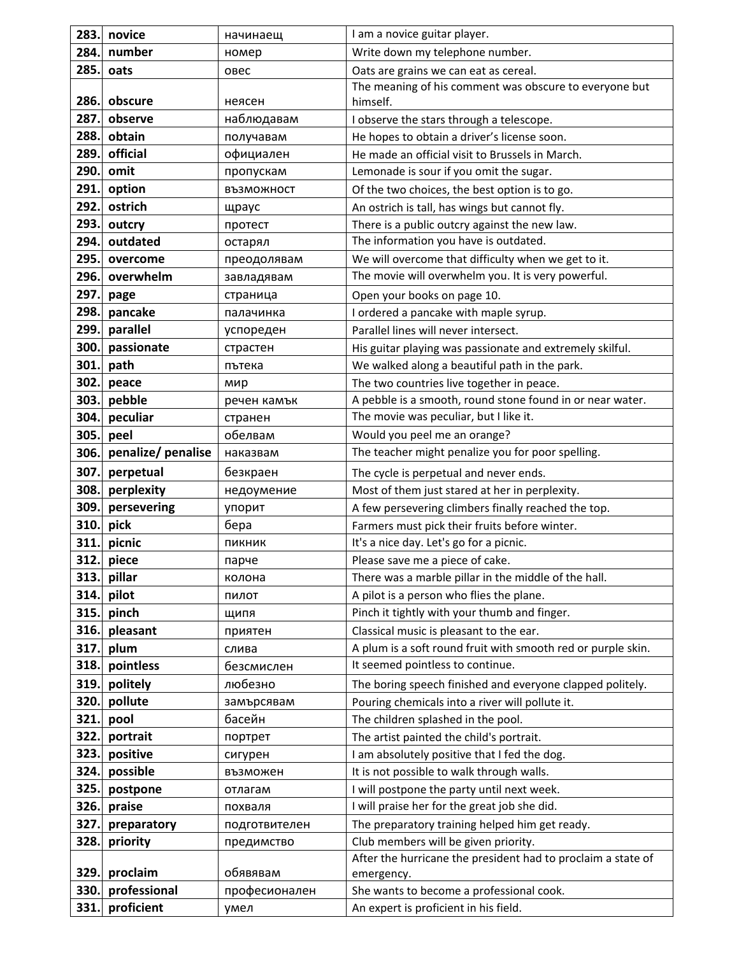| 283. | novice             | начинаещ      | I am a novice guitar player.                                 |
|------|--------------------|---------------|--------------------------------------------------------------|
| 284. | number             | номер         | Write down my telephone number.                              |
| 285. | oats               | овес          | Oats are grains we can eat as cereal.                        |
|      |                    |               | The meaning of his comment was obscure to everyone but       |
| 286. | obscure            | неясен        | himself.                                                     |
| 287. | observe            | наблюдавам    | I observe the stars through a telescope.                     |
| 288. | obtain             | получавам     | He hopes to obtain a driver's license soon.                  |
| 289. | official           | официален     | He made an official visit to Brussels in March.              |
| 290. | omit               | пропускам     | Lemonade is sour if you omit the sugar.                      |
| 291. | option             | ВЪЗМОЖНОСТ    | Of the two choices, the best option is to go.                |
| 292. | ostrich            | щраус         | An ostrich is tall, has wings but cannot fly.                |
| 293. | outcry             | протест       | There is a public outcry against the new law.                |
| 294. | outdated           | остарял       | The information you have is outdated.                        |
| 295. | overcome           | преодолявам   | We will overcome that difficulty when we get to it.          |
| 296. | overwhelm          | завладявам    | The movie will overwhelm you. It is very powerful.           |
| 297. | page               | страница      | Open your books on page 10.                                  |
| 298. | pancake            | палачинка     | I ordered a pancake with maple syrup.                        |
| 299. | parallel           | успореден     | Parallel lines will never intersect.                         |
| 300. | passionate         | страстен      | His guitar playing was passionate and extremely skilful.     |
| 301. | path               | пътека        | We walked along a beautiful path in the park.                |
| 302. | peace              | мир           | The two countries live together in peace.                    |
| 303. | pebble             | речен камък   | A pebble is a smooth, round stone found in or near water.    |
| 304. | peculiar           | странен       | The movie was peculiar, but I like it.                       |
| 305. | peel               | обелвам       | Would you peel me an orange?                                 |
| 306. | penalize/ penalise | наказвам      | The teacher might penalize you for poor spelling.            |
| 307. | perpetual          | безкраен      | The cycle is perpetual and never ends.                       |
| 308. | perplexity         | недоумение    | Most of them just stared at her in perplexity.               |
| 309. | persevering        | упорит        | A few persevering climbers finally reached the top.          |
| 310. | pick               | бера          | Farmers must pick their fruits before winter.                |
| 311. | picnic             | ПИКНИК        | It's a nice day. Let's go for a picnic.                      |
| 312. | piece              | парче         | Please save me a piece of cake.                              |
| 313. | pillar             | колона        | There was a marble pillar in the middle of the hall.         |
| 314. | pilot              | пилот         | A pilot is a person who flies the plane.                     |
| 315. | pinch              | ЩИПЯ          | Pinch it tightly with your thumb and finger.                 |
| 316. | pleasant           | приятен       | Classical music is pleasant to the ear.                      |
| 317. | plum               | слива         | A plum is a soft round fruit with smooth red or purple skin. |
| 318. | pointless          | безсмислен    | It seemed pointless to continue.                             |
| 319. | politely           | любезно       | The boring speech finished and everyone clapped politely.    |
| 320. | pollute            | замърсявам    | Pouring chemicals into a river will pollute it.              |
| 321. | pool               | басейн        | The children splashed in the pool.                           |
| 322. | portrait           | портрет       | The artist painted the child's portrait.                     |
| 323. | positive           | сигурен       | I am absolutely positive that I fed the dog.                 |
| 324. | possible           | възможен      | It is not possible to walk through walls.                    |
| 325. | postpone           | отлагам       | I will postpone the party until next week.                   |
| 326. | praise             | похваля       | I will praise her for the great job she did.                 |
| 327. | preparatory        | подготвителен | The preparatory training helped him get ready.               |
| 328. | priority           | предимство    | Club members will be given priority.                         |
|      |                    |               | After the hurricane the president had to proclaim a state of |
| 329. | proclaim           | обявявам      | emergency.                                                   |
| 330. | professional       | професионален | She wants to become a professional cook.                     |
| 331. | proficient         | умел          | An expert is proficient in his field.                        |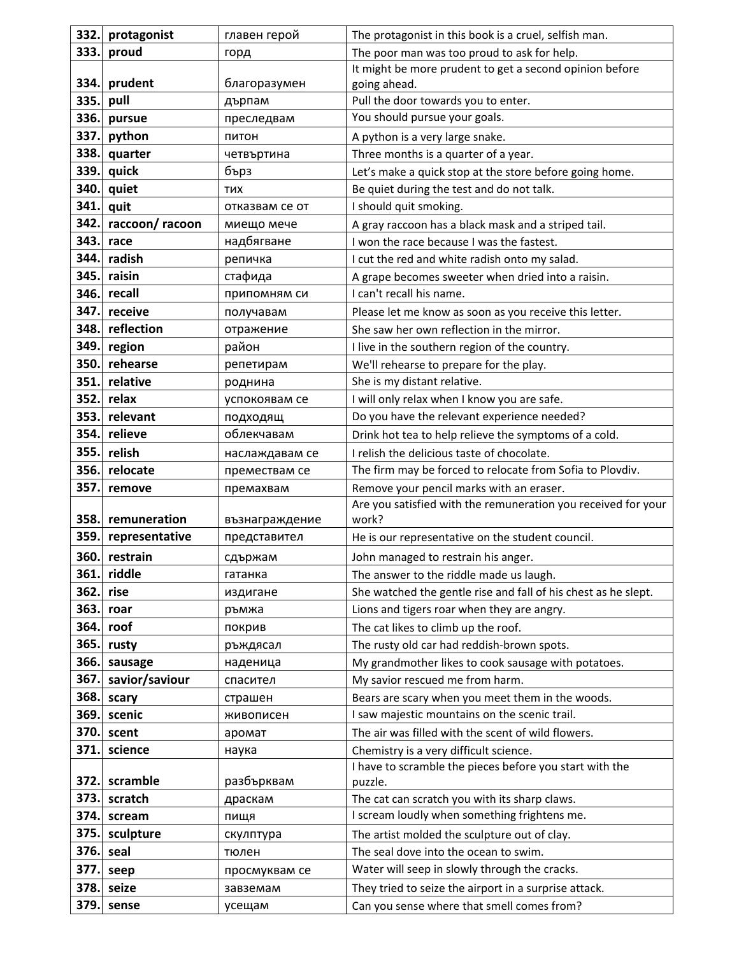| 332. | protagonist    | главен герой   | The protagonist in this book is a cruel, selfish man.          |
|------|----------------|----------------|----------------------------------------------------------------|
| 333. | proud          | горд           | The poor man was too proud to ask for help.                    |
|      |                |                | It might be more prudent to get a second opinion before        |
| 334. | prudent        | благоразумен   | going ahead.                                                   |
| 335. | pull           | дърпам         | Pull the door towards you to enter.                            |
| 336. | pursue         | преследвам     | You should pursue your goals.                                  |
| 337. | python         | питон          | A python is a very large snake.                                |
| 338. | quarter        | четвъртина     | Three months is a quarter of a year.                           |
| 339. | quick          | бърз           | Let's make a quick stop at the store before going home.        |
| 340. | quiet          | <b>THX</b>     | Be quiet during the test and do not talk.                      |
| 341. | quit           | отказвам се от | I should quit smoking.                                         |
| 342. | raccoon/racoon | миещо мече     | A gray raccoon has a black mask and a striped tail.            |
| 343. | race           | надбягване     | I won the race because I was the fastest.                      |
| 344. | radish         | репичка        | I cut the red and white radish onto my salad.                  |
| 345. | raisin         | стафида        | A grape becomes sweeter when dried into a raisin.              |
| 346. | recall         | припомням си   | I can't recall his name.                                       |
| 347. | receive        | получавам      | Please let me know as soon as you receive this letter.         |
| 348. | reflection     | отражение      | She saw her own reflection in the mirror.                      |
| 349. | region         | район          | I live in the southern region of the country.                  |
| 350. | rehearse       | репетирам      | We'll rehearse to prepare for the play.                        |
| 351. | relative       | роднина        | She is my distant relative.                                    |
| 352. | relax          | успокоявам се  | I will only relax when I know you are safe.                    |
| 353. | relevant       | подходящ       | Do you have the relevant experience needed?                    |
| 354. | relieve        | облекчавам     | Drink hot tea to help relieve the symptoms of a cold.          |
| 355. | relish         | наслаждавам се | I relish the delicious taste of chocolate.                     |
| 356. | relocate       | премествам се  | The firm may be forced to relocate from Sofia to Plovdiv.      |
| 357. | remove         | премахвам      | Remove your pencil marks with an eraser.                       |
|      |                |                | Are you satisfied with the remuneration you received for your  |
| 358. | remuneration   | възнаграждение | work?                                                          |
| 359. | representative | представител   | He is our representative on the student council.               |
| 360. | restrain       | сдържам        | John managed to restrain his anger.                            |
| 361. | riddle         | гатанка        | The answer to the riddle made us laugh.                        |
| 362. | rise           | издигане       | She watched the gentle rise and fall of his chest as he slept. |
| 363. | roar           | ръмжа          | Lions and tigers roar when they are angry.                     |
| 364. | roof           | покрив         | The cat likes to climb up the roof.                            |
| 365. | rusty          | ръждясал       | The rusty old car had reddish-brown spots.                     |
| 366. | sausage        | наденица       | My grandmother likes to cook sausage with potatoes.            |
| 367. | savior/saviour | спасител       | My savior rescued me from harm.                                |
| 368. | scary          | страшен        | Bears are scary when you meet them in the woods.               |
| 369. | scenic         | живописен      | I saw majestic mountains on the scenic trail.                  |
| 370. | scent          | аромат         | The air was filled with the scent of wild flowers.             |
| 371. | science        | наука          | Chemistry is a very difficult science.                         |
|      |                |                | I have to scramble the pieces before you start with the        |
| 372. | scramble       | разбърквам     | puzzle.                                                        |
| 373. | scratch        | драскам        | The cat can scratch you with its sharp claws.                  |
| 374. | scream         | пищя           | I scream loudly when something frightens me.                   |
| 375. | sculpture      | скулптура      | The artist molded the sculpture out of clay.                   |
| 376. | seal           | тюлен          | The seal dove into the ocean to swim.                          |
| 377. | seep           | просмуквам се  | Water will seep in slowly through the cracks.                  |
| 378. | seize          | завземам       | They tried to seize the airport in a surprise attack.          |
| 379. | sense          | усещам         | Can you sense where that smell comes from?                     |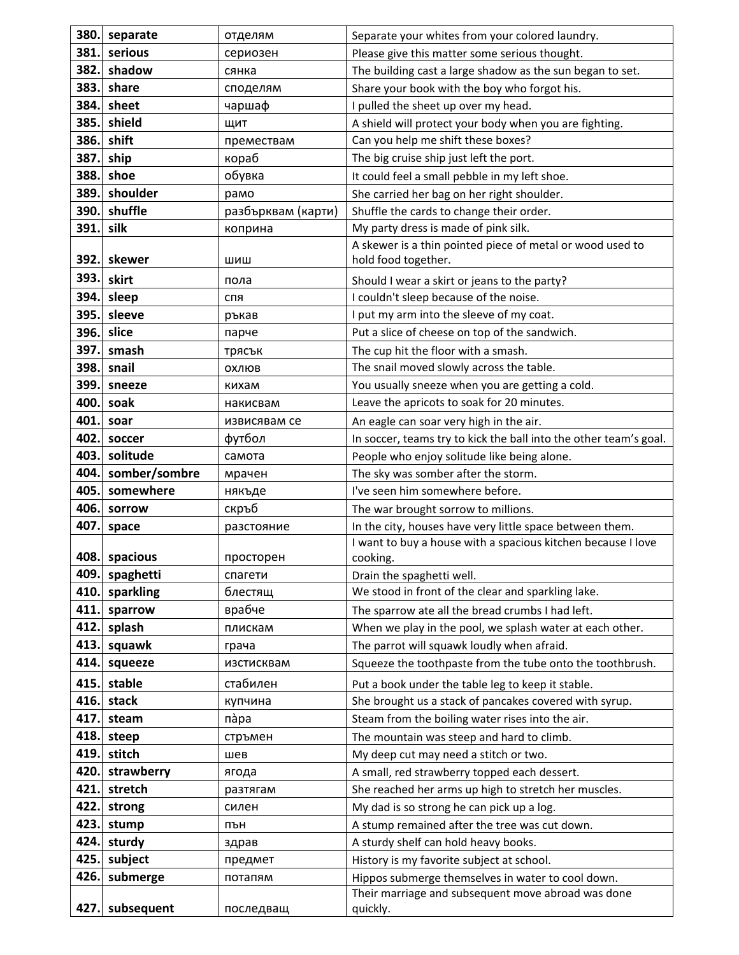| 380. | separate      | отделям            | Separate your whites from your colored laundry.                   |
|------|---------------|--------------------|-------------------------------------------------------------------|
| 381. | serious       | сериозен           | Please give this matter some serious thought.                     |
| 382. | shadow        | сянка              | The building cast a large shadow as the sun began to set.         |
| 383. | share         | споделям           | Share your book with the boy who forgot his.                      |
| 384. | sheet         | чаршаф             | I pulled the sheet up over my head.                               |
| 385. | shield        | ЩИТ                | A shield will protect your body when you are fighting.            |
| 386. | shift         | премествам         | Can you help me shift these boxes?                                |
| 387  | ship          | кораб              | The big cruise ship just left the port.                           |
| 388. | shoe          | обувка             | It could feel a small pebble in my left shoe.                     |
| 389. | shoulder      | рамо               | She carried her bag on her right shoulder.                        |
| 390. | shuffle       | разбърквам (карти) | Shuffle the cards to change their order.                          |
| 391  | silk          | коприна            | My party dress is made of pink silk.                              |
|      |               |                    | A skewer is a thin pointed piece of metal or wood used to         |
| 392. | skewer        | шиш                | hold food together.                                               |
| 393. | skirt         | пола               | Should I wear a skirt or jeans to the party?                      |
| 394. | sleep         | спя                | I couldn't sleep because of the noise.                            |
| 395. | sleeve        | ръкав              | I put my arm into the sleeve of my coat.                          |
| 396. | slice         | парче              | Put a slice of cheese on top of the sandwich.                     |
| 397. | smash         | трясък             | The cup hit the floor with a smash.                               |
| 398. | snail         | охлюв              | The snail moved slowly across the table.                          |
| 399. | sneeze        | кихам              | You usually sneeze when you are getting a cold.                   |
| 400. | soak          | накисвам           | Leave the apricots to soak for 20 minutes.                        |
| 401. | soar          | извисявам се       | An eagle can soar very high in the air.                           |
| 402. | soccer        | футбол             | In soccer, teams try to kick the ball into the other team's goal. |
| 403. | solitude      | самота             | People who enjoy solitude like being alone.                       |
| 404. | somber/sombre | мрачен             | The sky was somber after the storm.                               |
| 405  | somewhere     | някъде             | I've seen him somewhere before.                                   |
| 406. | sorrow        | скръб              | The war brought sorrow to millions.                               |
| 407. | space         | разстояние         | In the city, houses have very little space between them.          |
|      |               |                    | I want to buy a house with a spacious kitchen because I love      |
| 408. | spacious      | просторен          | cooking.                                                          |
| 409. | spaghetti     | спагети            | Drain the spaghetti well.                                         |
| 410  | sparkling     | блестящ            | We stood in front of the clear and sparkling lake.                |
| 411. | sparrow       | врабче             | The sparrow ate all the bread crumbs I had left.                  |
| 412. | splash        | плискам            | When we play in the pool, we splash water at each other.          |
| 413. | squawk        | грача              | The parrot will squawk loudly when afraid.                        |
| 414. | squeeze       | изстисквам         | Squeeze the toothpaste from the tube onto the toothbrush.         |
| 415. | stable        | стабилен           | Put a book under the table leg to keep it stable.                 |
| 416. | stack         | купчина            | She brought us a stack of pancakes covered with syrup.            |
| 417. | steam         | nàpa               | Steam from the boiling water rises into the air.                  |
| 418. | steep         | стръмен            | The mountain was steep and hard to climb.                         |
| 419. | stitch        | шев                | My deep cut may need a stitch or two.                             |
| 420. | strawberry    | ягода              | A small, red strawberry topped each dessert.                      |
| 421. | stretch       | разтягам           | She reached her arms up high to stretch her muscles.              |
| 422. | strong        | силен              | My dad is so strong he can pick up a log.                         |
| 423. | stump         | ПЪН                | A stump remained after the tree was cut down.                     |
| 424. | sturdy        | здрав              | A sturdy shelf can hold heavy books.                              |
| 425. | subject       | предмет            | History is my favorite subject at school.                         |
| 426. | submerge      | потапям            | Hippos submerge themselves in water to cool down.                 |
|      |               |                    | Their marriage and subsequent move abroad was done                |
| 427. | subsequent    | последващ          | quickly.                                                          |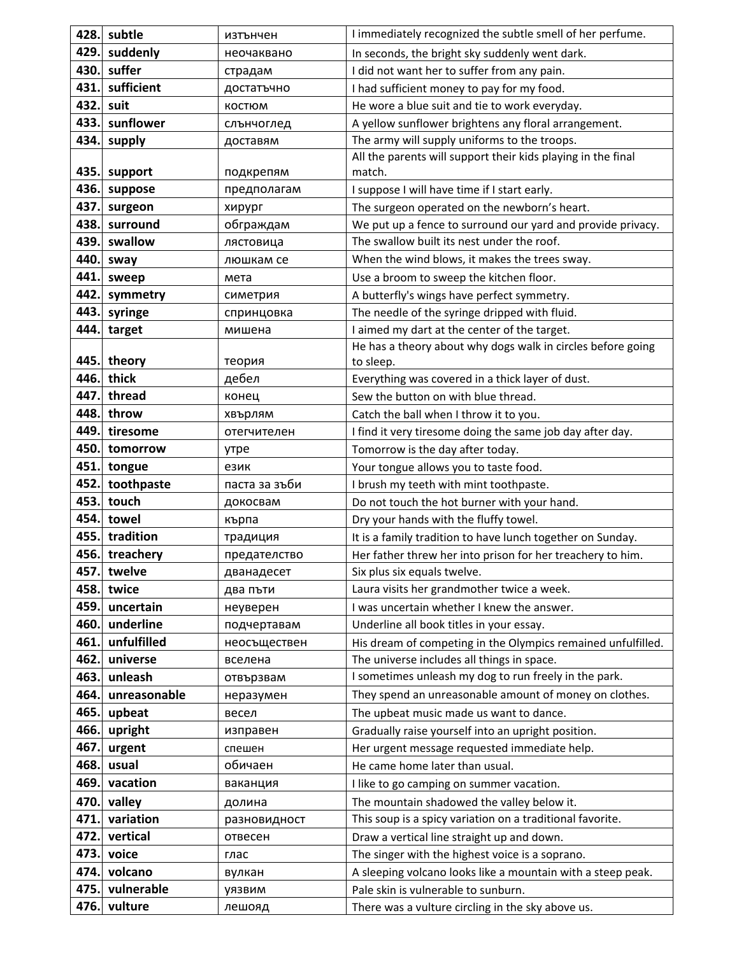| 428. | subtle       | изтънчен      | I immediately recognized the subtle smell of her perfume.    |
|------|--------------|---------------|--------------------------------------------------------------|
| 429. | suddenly     | неочаквано    | In seconds, the bright sky suddenly went dark.               |
| 430. | suffer       | страдам       | I did not want her to suffer from any pain.                  |
| 431. | sufficient   | достатъчно    | I had sufficient money to pay for my food.                   |
| 432. | suit         | <b>КОСТЮМ</b> | He wore a blue suit and tie to work everyday.                |
| 433. | sunflower    | слънчоглед    | A yellow sunflower brightens any floral arrangement.         |
| 434. | supply       | доставям      | The army will supply uniforms to the troops.                 |
|      |              |               | All the parents will support their kids playing in the final |
| 435. | support      | подкрепям     | match.                                                       |
| 436. | suppose      | предполагам   | I suppose I will have time if I start early.                 |
| 437. | surgeon      | хирург        | The surgeon operated on the newborn's heart.                 |
| 438. | surround     | обграждам     | We put up a fence to surround our yard and provide privacy.  |
| 439. | swallow      | лястовица     | The swallow built its nest under the roof.                   |
| 440. | sway         | люшкам се     | When the wind blows, it makes the trees sway.                |
| 441. | sweep        | мета          | Use a broom to sweep the kitchen floor.                      |
| 442. | symmetry     | симетрия      | A butterfly's wings have perfect symmetry.                   |
| 443. | syringe      | спринцовка    | The needle of the syringe dripped with fluid.                |
| 444. | target       | мишена        | I aimed my dart at the center of the target.                 |
|      |              |               | He has a theory about why dogs walk in circles before going  |
| 445. | theory       | теория        | to sleep.                                                    |
| 446. | thick        | дебел         | Everything was covered in a thick layer of dust.             |
| 447. | thread       | конец         | Sew the button on with blue thread.                          |
| 448. | throw        | хвърлям       | Catch the ball when I throw it to you.                       |
| 449  | tiresome     | отегчителен   | I find it very tiresome doing the same job day after day.    |
| 450. | tomorrow     | утре          | Tomorrow is the day after today.                             |
| 451. | tongue       | език          | Your tongue allows you to taste food.                        |
| 452. | toothpaste   | паста за зъби | I brush my teeth with mint toothpaste.                       |
| 453. | touch        | докосвам      | Do not touch the hot burner with your hand.                  |
| 454. | towel        | кърпа         | Dry your hands with the fluffy towel.                        |
| 455. | tradition    | традиция      | It is a family tradition to have lunch together on Sunday.   |
| 456. | treachery    | предателство  | Her father threw her into prison for her treachery to him.   |
| 457. | twelve       | дванадесет    | Six plus six equals twelve.                                  |
| 458. | twice        | два пъти      | Laura visits her grandmother twice a week.                   |
| 459. | uncertain    | неуверен      | I was uncertain whether I knew the answer.                   |
| 460. | underline    | подчертавам   | Underline all book titles in your essay.                     |
| 461  | unfulfilled  | неосъществен  | His dream of competing in the Olympics remained unfulfilled. |
| 462. | universe     | вселена       | The universe includes all things in space.                   |
| 463. | unleash      | отвързвам     | I sometimes unleash my dog to run freely in the park.        |
| 464. | unreasonable | неразумен     | They spend an unreasonable amount of money on clothes.       |
| 465. | upbeat       | весел         | The upbeat music made us want to dance.                      |
| 466. | upright      | изправен      | Gradually raise yourself into an upright position.           |
| 467. | urgent       | спешен        | Her urgent message requested immediate help.                 |
| 468. | usual        | обичаен       | He came home later than usual.                               |
| 469. | vacation     | ваканция      | I like to go camping on summer vacation.                     |
| 470. | valley       | долина        | The mountain shadowed the valley below it.                   |
| 471. | variation    | разновидност  | This soup is a spicy variation on a traditional favorite.    |
| 472. | vertical     | отвесен       | Draw a vertical line straight up and down.                   |
| 473. | voice        | глас          | The singer with the highest voice is a soprano.              |
| 474. | volcano      | вулкан        | A sleeping volcano looks like a mountain with a steep peak.  |
| 475. | vulnerable   | уязвим        | Pale skin is vulnerable to sunburn.                          |
| 476. | vulture      | лешояд        | There was a vulture circling in the sky above us.            |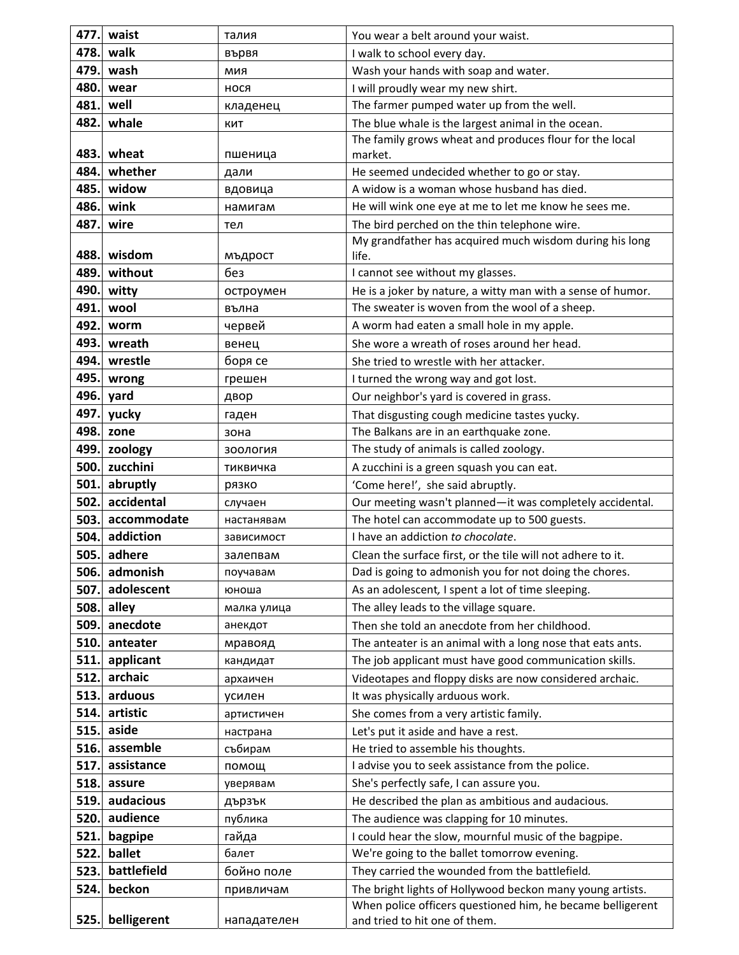| 477.         | waist                     | талия                | You wear a belt around your waist.                                                                                    |
|--------------|---------------------------|----------------------|-----------------------------------------------------------------------------------------------------------------------|
| 478.         | walk                      | вървя                | I walk to school every day.                                                                                           |
| 479.         | wash                      | МИЯ                  | Wash your hands with soap and water.                                                                                  |
| 480.         | wear                      | нося                 | I will proudly wear my new shirt.                                                                                     |
| 481.         | well                      | кладенец             | The farmer pumped water up from the well.                                                                             |
| 482.         | whale                     | КИТ                  | The blue whale is the largest animal in the ocean.                                                                    |
|              |                           |                      | The family grows wheat and produces flour for the local                                                               |
| 483.         | wheat                     | пшеница              | market.                                                                                                               |
| 484.         | whether                   | дали                 | He seemed undecided whether to go or stay.                                                                            |
| 485.         | widow                     | вдовица              | A widow is a woman whose husband has died.                                                                            |
| 486.         | wink                      | намигам              | He will wink one eye at me to let me know he sees me.                                                                 |
| 487.         | wire                      | тел                  | The bird perched on the thin telephone wire.                                                                          |
|              |                           |                      | My grandfather has acquired much wisdom during his long                                                               |
| 488.         | wisdom                    | мъдрост              | life.                                                                                                                 |
| 489.         | without                   | без                  | I cannot see without my glasses.                                                                                      |
| 490.         | witty                     | остроумен            | He is a joker by nature, a witty man with a sense of humor.                                                           |
| 491.         | wool                      | вълна                | The sweater is woven from the wool of a sheep.                                                                        |
| 492.         | worm                      | червей               | A worm had eaten a small hole in my apple.                                                                            |
| 493.<br>494. | wreath                    | венец                | She wore a wreath of roses around her head.                                                                           |
| 495.         | wrestle                   | боря се              | She tried to wrestle with her attacker.                                                                               |
|              | wrong                     | грешен               | I turned the wrong way and got lost.                                                                                  |
| 496.         | yard                      | двор                 | Our neighbor's yard is covered in grass.                                                                              |
| 497.         | yucky                     | гаден                | That disgusting cough medicine tastes yucky.                                                                          |
| 498.         | zone                      | зона                 | The Balkans are in an earthquake zone.                                                                                |
| 499.         | zoology                   | зоология             | The study of animals is called zoology.                                                                               |
| 500.         | zucchini                  | тиквичка             | A zucchini is a green squash you can eat.                                                                             |
| 501.         | abruptly                  | рязко                | 'Come here!', she said abruptly.                                                                                      |
| 502.         | accidental<br>accommodate | случаен              | Our meeting wasn't planned-it was completely accidental.                                                              |
| 503.<br>504. | addiction                 | настанявам           | The hotel can accommodate up to 500 guests.<br>I have an addiction to chocolate.                                      |
| 505.         | adhere                    | зависимост           |                                                                                                                       |
| 506.         | admonish                  | залепвам<br>поучавам | Clean the surface first, or the tile will not adhere to it.<br>Dad is going to admonish you for not doing the chores. |
| 507.         | adolescent                | юноша                | As an adolescent, I spent a lot of time sleeping.                                                                     |
| 508.         | alley                     | малка улица          | The alley leads to the village square.                                                                                |
| 509.         | anecdote                  |                      | Then she told an anecdote from her childhood.                                                                         |
| 510.         | anteater                  | анекдот              | The anteater is an animal with a long nose that eats ants.                                                            |
| 511.         | applicant                 | мравояд<br>кандидат  | The job applicant must have good communication skills.                                                                |
| 512.         | archaic                   | архаичен             | Videotapes and floppy disks are now considered archaic.                                                               |
| 513.         | arduous                   | усилен               | It was physically arduous work.                                                                                       |
| 514.         | artistic                  | артистичен           | She comes from a very artistic family.                                                                                |
| 515.         | aside                     | настрана             | Let's put it aside and have a rest.                                                                                   |
| 516.         | assemble                  | събирам              | He tried to assemble his thoughts.                                                                                    |
| 517.         | assistance                | помощ                | I advise you to seek assistance from the police.                                                                      |
| 518.         | assure                    | уверявам             | She's perfectly safe, I can assure you.                                                                               |
| 519.         | audacious                 | дързък               | He described the plan as ambitious and audacious.                                                                     |
| 520.         | audience                  | публика              | The audience was clapping for 10 minutes.                                                                             |
| 521.         | bagpipe                   | гайда                | I could hear the slow, mournful music of the bagpipe.                                                                 |
| 522.         | ballet                    | балет                | We're going to the ballet tomorrow evening.                                                                           |
| 523.         | battlefield               | бойно поле           | They carried the wounded from the battlefield.                                                                        |
| 524.         | beckon                    | привличам            | The bright lights of Hollywood beckon many young artists.                                                             |
|              |                           |                      | When police officers questioned him, he became belligerent                                                            |
| 525.         | belligerent               | нападателен          | and tried to hit one of them.                                                                                         |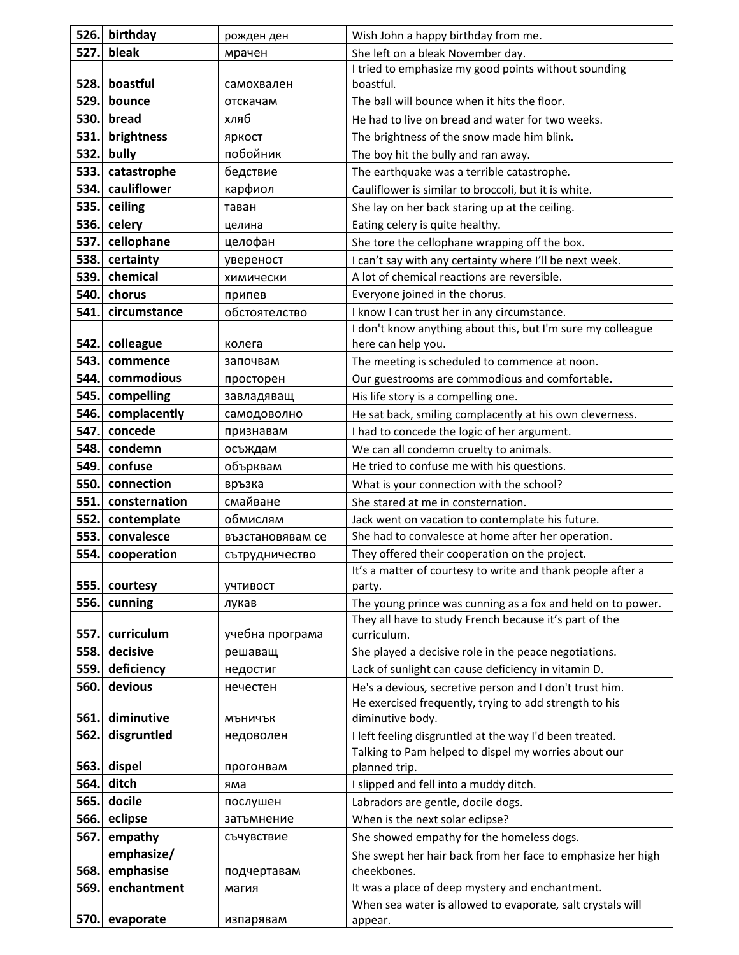| 526. | birthday      | рожден ден       | Wish John a happy birthday from me.                                        |
|------|---------------|------------------|----------------------------------------------------------------------------|
| 527. | bleak         | мрачен           | She left on a bleak November day.                                          |
|      |               |                  | I tried to emphasize my good points without sounding                       |
| 528. | boastful      | самохвален       | boastful.                                                                  |
| 529. | bounce        | отскачам         | The ball will bounce when it hits the floor.                               |
| 530. | bread         | хляб             | He had to live on bread and water for two weeks.                           |
| 531. | brightness    | яркост           | The brightness of the snow made him blink.                                 |
| 532. | bully         | побойник         | The boy hit the bully and ran away.                                        |
| 533. | catastrophe   | бедствие         | The earthquake was a terrible catastrophe.                                 |
| 534. | cauliflower   | карфиол          | Cauliflower is similar to broccoli, but it is white.                       |
| 535. | ceiling       | таван            | She lay on her back staring up at the ceiling.                             |
| 536. | celery        | целина           | Eating celery is quite healthy.                                            |
| 537. | cellophane    | целофан          | She tore the cellophane wrapping off the box.                              |
| 538. | certainty     | увереност        | I can't say with any certainty where I'll be next week.                    |
| 539. | chemical      | химически        | A lot of chemical reactions are reversible.                                |
| 540. | chorus        | припев           | Everyone joined in the chorus.                                             |
| 541. | circumstance  | обстоятелство    | I know I can trust her in any circumstance.                                |
|      |               |                  | I don't know anything about this, but I'm sure my colleague                |
| 542. | colleague     | колега           | here can help you.                                                         |
| 543. | commence      | започвам         | The meeting is scheduled to commence at noon.                              |
| 544. | commodious    | просторен        | Our guestrooms are commodious and comfortable.                             |
| 545. | compelling    | завладяващ       | His life story is a compelling one.                                        |
| 546. | complacently  | самодоволно      | He sat back, smiling complacently at his own cleverness.                   |
| 547. | concede       | признавам        | I had to concede the logic of her argument.                                |
| 548. | condemn       | осъждам          | We can all condemn cruelty to animals.                                     |
| 549. | confuse       | обърквам         | He tried to confuse me with his questions.                                 |
| 550. | connection    | връзка           | What is your connection with the school?                                   |
| 551. | consternation | смайване         | She stared at me in consternation.                                         |
|      |               |                  |                                                                            |
| 552. | contemplate   | обмислям         | Jack went on vacation to contemplate his future.                           |
| 553. | convalesce    | възстановявам се | She had to convalesce at home after her operation.                         |
| 554. | cooperation   | сътрудничество   | They offered their cooperation on the project.                             |
|      |               |                  | It's a matter of courtesy to write and thank people after a                |
| 555. | courtesy      | учтивост         | party.                                                                     |
| 556. | cunning       | лукав            | The young prince was cunning as a fox and held on to power.                |
|      |               |                  | They all have to study French because it's part of the                     |
| 557. | curriculum    | учебна програма  | curriculum.                                                                |
| 558. | decisive      | решаващ          | She played a decisive role in the peace negotiations.                      |
| 559. | deficiency    | недостиг         | Lack of sunlight can cause deficiency in vitamin D.                        |
| 560. | devious       | нечестен         | He's a devious, secretive person and I don't trust him.                    |
| 561. | diminutive    | МЪНИЧЪК          | He exercised frequently, trying to add strength to his<br>diminutive body. |
| 562. | disgruntled   | недоволен        | I left feeling disgruntled at the way I'd been treated.                    |
|      |               |                  | Talking to Pam helped to dispel my worries about our                       |
| 563. | dispel        | прогонвам        | planned trip.                                                              |
| 564. | ditch         | яма              | I slipped and fell into a muddy ditch.                                     |
| 565. | docile        | послушен         | Labradors are gentle, docile dogs.                                         |
| 566. | eclipse       | затъмнение       | When is the next solar eclipse?                                            |
| 567. | empathy       | съчувствие       | She showed empathy for the homeless dogs.                                  |
|      | emphasize/    |                  | She swept her hair back from her face to emphasize her high                |
| 568. | emphasise     | подчертавам      | cheekbones.                                                                |
| 569  | enchantment   | магия            | It was a place of deep mystery and enchantment.                            |
| 570. | evaporate     | изпарявам        | When sea water is allowed to evaporate, salt crystals will<br>appear.      |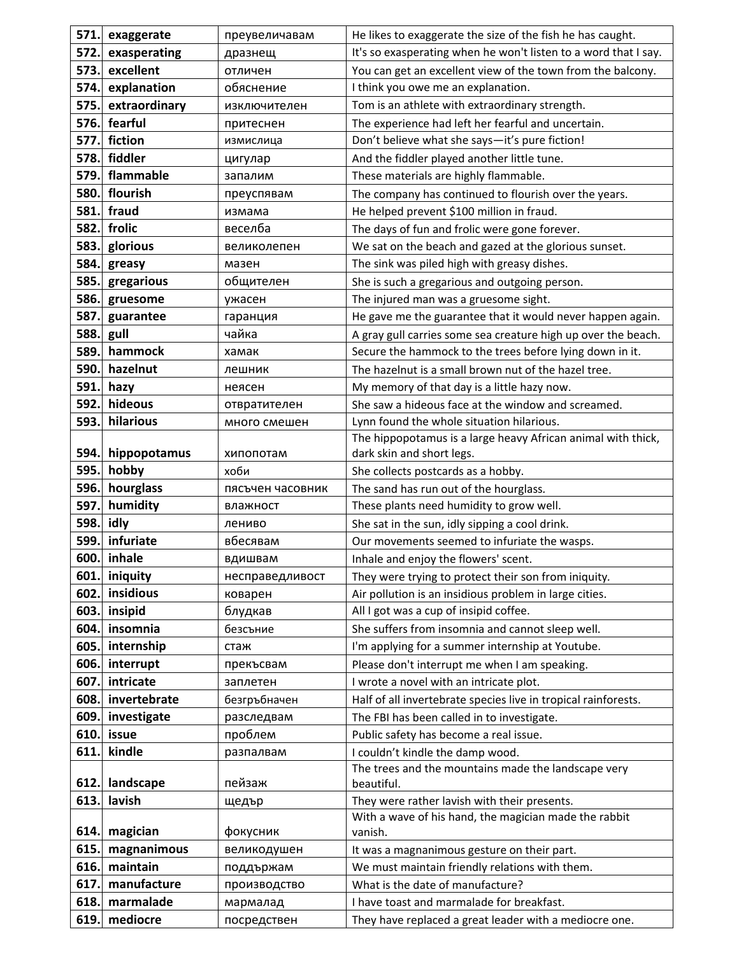| 571. | exaggerate    | преувеличавам    | He likes to exaggerate the size of the fish he has caught.                              |
|------|---------------|------------------|-----------------------------------------------------------------------------------------|
| 572. | exasperating  | дразнещ          | It's so exasperating when he won't listen to a word that I say.                         |
| 573. | excellent     | отличен          | You can get an excellent view of the town from the balcony.                             |
| 574. | explanation   | обяснение        | I think you owe me an explanation.                                                      |
| 575. | extraordinary | изключителен     | Tom is an athlete with extraordinary strength.                                          |
| 576. | fearful       | притеснен        | The experience had left her fearful and uncertain.                                      |
| 577. | fiction       | измислица        | Don't believe what she says-it's pure fiction!                                          |
| 578. | fiddler       | цигулар          | And the fiddler played another little tune.                                             |
| 579. | flammable     | запалим          | These materials are highly flammable.                                                   |
| 580. | flourish      | преуспявам       | The company has continued to flourish over the years.                                   |
| 581. | fraud         | измама           | He helped prevent \$100 million in fraud.                                               |
| 582. | frolic        | веселба          | The days of fun and frolic were gone forever.                                           |
| 583. | glorious      | великолепен      | We sat on the beach and gazed at the glorious sunset.                                   |
| 584. | greasy        | мазен            | The sink was piled high with greasy dishes.                                             |
| 585. | gregarious    | общителен        | She is such a gregarious and outgoing person.                                           |
| 586. | gruesome      | ужасен           | The injured man was a gruesome sight.                                                   |
| 587. | guarantee     | гаранция         | He gave me the guarantee that it would never happen again.                              |
| 588. | gull          | чайка            | A gray gull carries some sea creature high up over the beach.                           |
| 589. | hammock       | хамак            | Secure the hammock to the trees before lying down in it.                                |
| 590. | hazelnut      | лешник           | The hazelnut is a small brown nut of the hazel tree.                                    |
| 591. | hazy          | неясен           | My memory of that day is a little hazy now.                                             |
| 592. | hideous       | отвратителен     | She saw a hideous face at the window and screamed.                                      |
| 593. | hilarious     | много смешен     | Lynn found the whole situation hilarious.                                               |
|      |               |                  | The hippopotamus is a large heavy African animal with thick,                            |
| 594. | hippopotamus  | хипопотам        | dark skin and short legs.                                                               |
| 595. | hobby         | хоби             | She collects postcards as a hobby.                                                      |
| 596. | hourglass     | пясъчен часовник | The sand has run out of the hourglass.                                                  |
| 597. | humidity      | влажност         | These plants need humidity to grow well.                                                |
| 598. | idly          | лениво           | She sat in the sun, idly sipping a cool drink.                                          |
| 599. | infuriate     | вбесявам         | Our movements seemed to infuriate the wasps.                                            |
| 600. | inhale        | вдишвам          | Inhale and enjoy the flowers' scent.                                                    |
| 601. | iniquity      | несправедливост  | They were trying to protect their son from iniquity.                                    |
| 602. | insidious     | коварен          | Air pollution is an insidious problem in large cities.                                  |
| 603. | insipid       | блудкав          | All I got was a cup of insipid coffee.                                                  |
| 604. | insomnia      | безсъние         | She suffers from insomnia and cannot sleep well.                                        |
| 605. | internship    | стаж             | I'm applying for a summer internship at Youtube.                                        |
| 606. | interrupt     | прекъсвам        | Please don't interrupt me when I am speaking.                                           |
| 607. | intricate     | заплетен         | I wrote a novel with an intricate plot.                                                 |
| 608. | invertebrate  | безгръбначен     | Half of all invertebrate species live in tropical rainforests.                          |
| 609. | investigate   | разследвам       | The FBI has been called in to investigate.                                              |
| 610. | issue         | проблем          | Public safety has become a real issue.                                                  |
| 611. | kindle        | разпалвам        | I couldn't kindle the damp wood.<br>The trees and the mountains made the landscape very |
| 612. | landscape     | пейзаж           | beautiful.                                                                              |
| 613. | lavish        | щедър            | They were rather lavish with their presents.                                            |
|      |               |                  | With a wave of his hand, the magician made the rabbit                                   |
| 614. | magician      | фокусник         | vanish.                                                                                 |
| 615  | magnanimous   | великодушен      | It was a magnanimous gesture on their part.                                             |
| 616. | maintain      | поддържам        | We must maintain friendly relations with them.                                          |
| 617. | manufacture   | производство     | What is the date of manufacture?                                                        |
| 618. | marmalade     | мармалад         | I have toast and marmalade for breakfast.                                               |
| 619. | mediocre      | посредствен      | They have replaced a great leader with a mediocre one.                                  |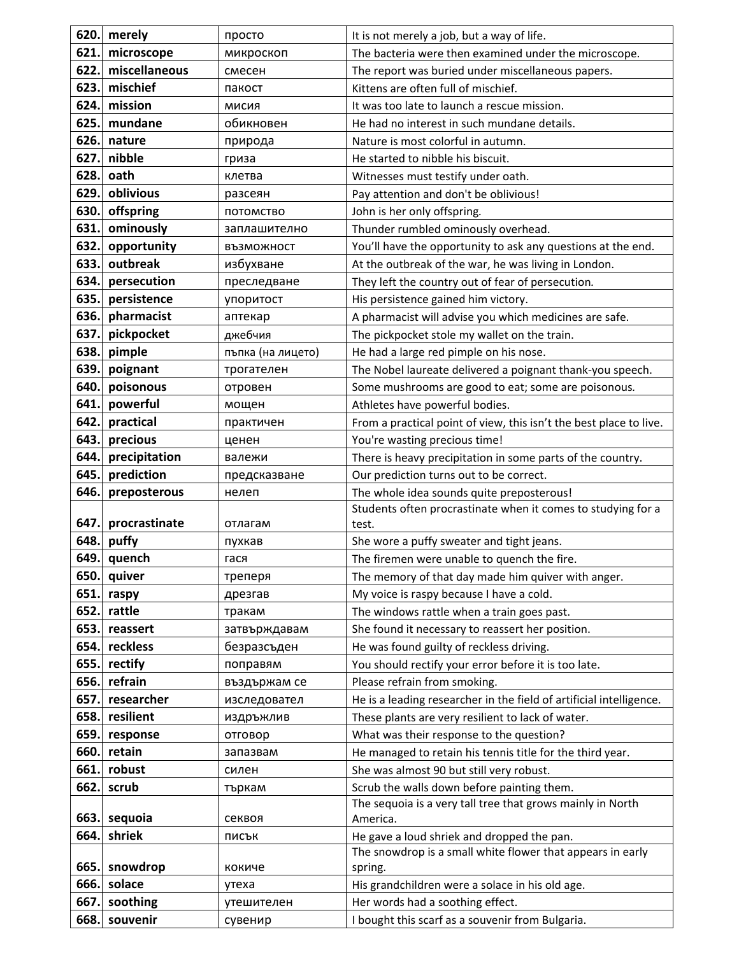| 620. | merely        | просто            | It is not merely a job, but a way of life.                                                               |
|------|---------------|-------------------|----------------------------------------------------------------------------------------------------------|
| 621. | microscope    | микроскоп         | The bacteria were then examined under the microscope.                                                    |
| 622. | miscellaneous | смесен            | The report was buried under miscellaneous papers.                                                        |
| 623. | mischief      | пакост            | Kittens are often full of mischief.                                                                      |
| 624. | mission       | МИСИЯ             | It was too late to launch a rescue mission.                                                              |
| 625. | mundane       | обикновен         | He had no interest in such mundane details.                                                              |
| 626. | nature        | природа           | Nature is most colorful in autumn.                                                                       |
| 627. | nibble        | гриза             | He started to nibble his biscuit.                                                                        |
| 628. | oath          | клетва            | Witnesses must testify under oath.                                                                       |
| 629. | oblivious     | разсеян           | Pay attention and don't be oblivious!                                                                    |
| 630. | offspring     | ПОТОМСТВО         | John is her only offspring.                                                                              |
| 631. | ominously     | заплашително      | Thunder rumbled ominously overhead.                                                                      |
| 632. | opportunity   | ВЪЗМОЖНОСТ        | You'll have the opportunity to ask any questions at the end.                                             |
| 633. | outbreak      | избухване         | At the outbreak of the war, he was living in London.                                                     |
| 634. | persecution   | преследване       | They left the country out of fear of persecution.                                                        |
| 635. | persistence   | упоритост         | His persistence gained him victory.                                                                      |
| 636. | pharmacist    | аптекар           | A pharmacist will advise you which medicines are safe.                                                   |
| 637. | pickpocket    | джебчия           | The pickpocket stole my wallet on the train.                                                             |
| 638. | pimple        | пъпка (на лицето) | He had a large red pimple on his nose.                                                                   |
| 639. | poignant      | трогателен        | The Nobel laureate delivered a poignant thank-you speech.                                                |
| 640  | poisonous     | отровен           | Some mushrooms are good to eat; some are poisonous.                                                      |
| 641. | powerful      | мощен             | Athletes have powerful bodies.                                                                           |
| 642. | practical     | практичен         | From a practical point of view, this isn't the best place to live.                                       |
| 643. | precious      | ценен             | You're wasting precious time!                                                                            |
| 644. | precipitation | валежи            | There is heavy precipitation in some parts of the country.                                               |
| 645. | prediction    | предсказване      | Our prediction turns out to be correct.                                                                  |
| 646. | preposterous  | нелеп             | The whole idea sounds quite preposterous!                                                                |
|      |               |                   | Students often procrastinate when it comes to studying for a                                             |
| 647. | procrastinate | отлагам           | test.                                                                                                    |
| 648. | puffy         | пухкав            | She wore a puffy sweater and tight jeans.                                                                |
| 649. | quench        | гася              | The firemen were unable to quench the fire.                                                              |
| 650. | quiver        | треперя           | The memory of that day made him quiver with anger.                                                       |
| 651. | raspy         | дрезгав           | My voice is raspy because I have a cold.                                                                 |
| 652. | rattle        | тракам            | The windows rattle when a train goes past.                                                               |
| 653. | reassert      | затвърждавам      | She found it necessary to reassert her position.                                                         |
| 654. | reckless      | безразсъден       | He was found guilty of reckless driving.                                                                 |
| 655. | rectify       | поправям          | You should rectify your error before it is too late.                                                     |
| 656. | refrain       | въздържам се      | Please refrain from smoking.                                                                             |
| 657. | researcher    | изследовател      | He is a leading researcher in the field of artificial intelligence.                                      |
| 658. | resilient     | издръжлив         | These plants are very resilient to lack of water.                                                        |
| 659. | response      | отговор           | What was their response to the question?                                                                 |
| 660. | retain        | запазвам          | He managed to retain his tennis title for the third year.                                                |
| 661. | robust        | силен             | She was almost 90 but still very robust.                                                                 |
| 662. | scrub         | търкам            | Scrub the walls down before painting them.<br>The sequoia is a very tall tree that grows mainly in North |
| 663. | sequoia       | секвоя            | America.                                                                                                 |
| 664. | shriek        | писък             | He gave a loud shriek and dropped the pan.                                                               |
|      |               |                   | The snowdrop is a small white flower that appears in early                                               |
| 665. | snowdrop      | кокиче            | spring.                                                                                                  |
| 666. | solace        | утеха             | His grandchildren were a solace in his old age.                                                          |
| 667. | soothing      | утешителен        | Her words had a soothing effect.                                                                         |
| 668. | souvenir      | сувенир           | I bought this scarf as a souvenir from Bulgaria.                                                         |